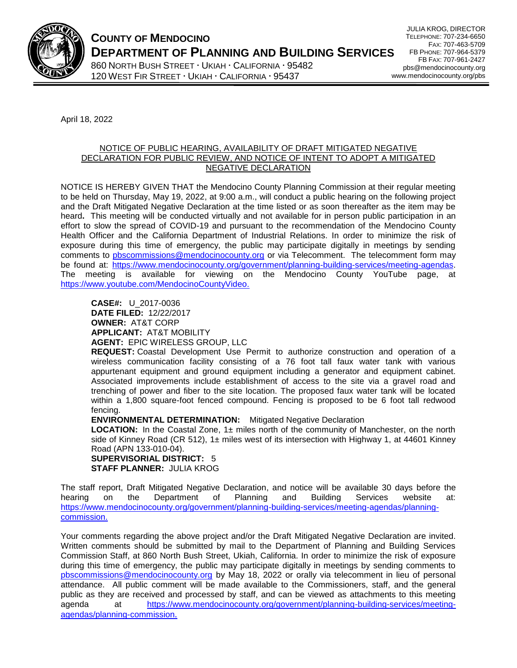

**COUNTY OF MENDOCINO DEPARTMENT OF PLANNING AND BUILDING SERVICES** 

860 NORTH BUSH STREET · UKIAH · CALIFORNIA · 95482 120 WEST FIR STREET  $\cdot$  UKIAH  $\cdot$  CALIFORNIA  $\cdot$  95437

JULIA KROG, DIRECTOR TELEPHONE: 707-234-6650 FAX: 707-463-5709 FB PHONE: 707-964-5379 FB FAX: 707-961-2427 pbs@mendocinocounty.org www.mendocinocounty.org/pbs

April 18, 2022

## NOTICE OF PUBLIC HEARING, AVAILABILITY OF DRAFT MITIGATED NEGATIVE DECLARATION FOR PUBLIC REVIEW, AND NOTICE OF INTENT TO ADOPT A MITIGATED NEGATIVE DECLARATION

NOTICE IS HEREBY GIVEN THAT the Mendocino County Planning Commission at their regular meeting to be held on Thursday, May 19, 2022, at 9:00 a.m., will conduct a public hearing on the following project and the Draft Mitigated Negative Declaration at the time listed or as soon thereafter as the item may be heard**.** This meeting will be conducted virtually and not available for in person public participation in an effort to slow the spread of COVID-19 and pursuant to the recommendation of the Mendocino County Health Officer and the California Department of Industrial Relations. In order to minimize the risk of exposure during this time of emergency, the public may participate digitally in meetings by sending comments to [pbscommissions@mendocinocounty.org](mailto:pbscommissions@mendocinocounty.org) or via Telecomment. The telecomment form may be found at: [https://www.mendocinocounty.org/government/planning-building-services/meeting-agendas.](https://www.mendocinocounty.org/government/planning-building-services/meeting-agendas) The meeting is available for viewing on the Mendocino County YouTube page, at [https://www.youtube.com/MendocinoCountyVideo.](https://www.youtube.com/MendocinoCountyVideo)

**CASE#:** U\_2017-0036 **DATE FILED:** 12/22/2017 **OWNER:** AT&T CORP **APPLICANT:** AT&T MOBILITY **AGENT:** EPIC WIRELESS GROUP, LLC

**REQUEST:** Coastal Development Use Permit to authorize construction and operation of a wireless communication facility consisting of a 76 foot tall faux water tank with various appurtenant equipment and ground equipment including a generator and equipment cabinet. Associated improvements include establishment of access to the site via a gravel road and trenching of power and fiber to the site location. The proposed faux water tank will be located within a 1,800 square-foot fenced compound. Fencing is proposed to be 6 foot tall redwood fencing.

**ENVIRONMENTAL DETERMINATION:** Mitigated Negative Declaration

**LOCATION:** In the Coastal Zone, 1± miles north of the community of Manchester, on the north side of Kinney Road (CR 512), 1 $\pm$  miles west of its intersection with Highway 1, at 44601 Kinney Road (APN 133-010-04).

**SUPERVISORIAL DISTRICT:** 5 **STAFF PLANNER:** JULIA KROG

The staff report, Draft Mitigated Negative Declaration, and notice will be available 30 days before the hearing on the Department of Planning and Building Services website at: [https://www.mendocinocounty.org/government/planning-building-services/meeting-agendas/planning](https://www.mendocinocounty.org/government/planning-building-services/meeting-agendas/planning-commission)[commission.](https://www.mendocinocounty.org/government/planning-building-services/meeting-agendas/planning-commission)

Your comments regarding the above project and/or the Draft Mitigated Negative Declaration are invited. Written comments should be submitted by mail to the Department of Planning and Building Services Commission Staff, at 860 North Bush Street, Ukiah, California. In order to minimize the risk of exposure during this time of emergency, the public may participate digitally in meetings by sending comments to [pbscommissions@mendocinocounty.org](mailto:pbscommissions@mendocinocounty.org) by May 18, 2022 or orally via telecomment in lieu of personal attendance. All public comment will be made available to the Commissioners, staff, and the general public as they are received and processed by staff, and can be viewed as attachments to this meeting agenda at [https://www.mendocinocounty.org/government/planning-building-services/meeting](https://www.mendocinocounty.org/government/planning-building-services/meeting-agendas/planning-commission)[agendas/planning-commission](https://www.mendocinocounty.org/government/planning-building-services/meeting-agendas/planning-commission).